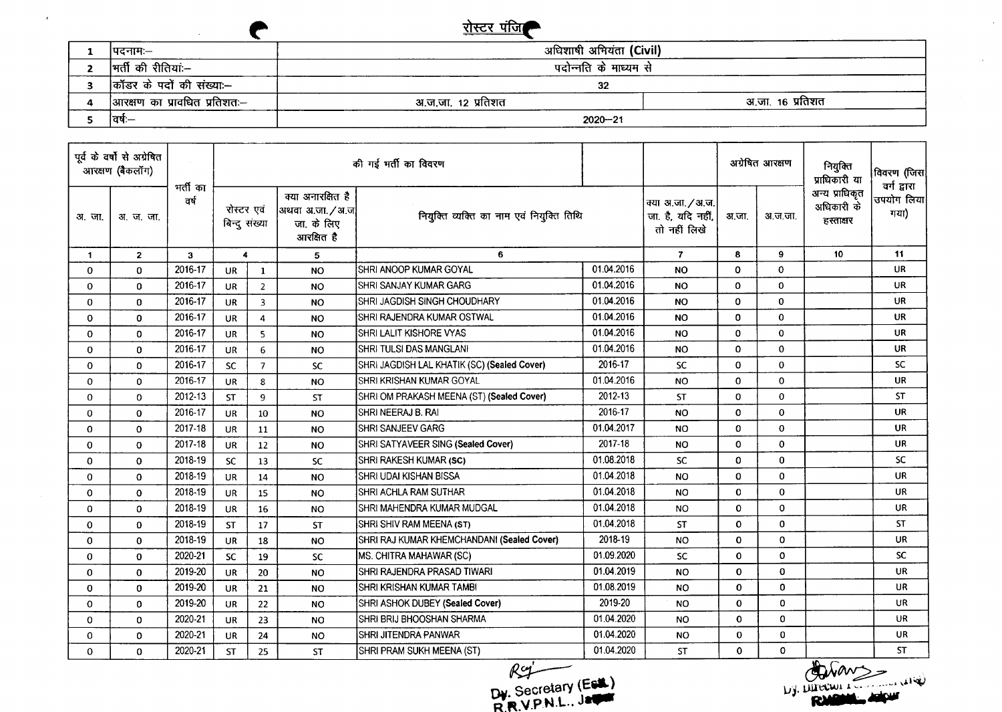

 $\epsilon$ 

 $\bullet$ 

|                               | $1101$                  |                  |
|-------------------------------|-------------------------|------------------|
| ।पदनामः—                      | अधिशाषी अभियंता (Civil) |                  |
| मर्ती की रीतियां:--           | पदोन्नति के माध्यम से   |                  |
| कॉंडर के पदों की संख्या:--    | 32                      |                  |
| आरक्षण का प्रावधित प्रतिशतः-- | अ.ज.जा. १२ प्रतिशत      | अ.जा. 16 प्रतिशत |
| ।वर्षः $-$                    | $2020 - 21$             |                  |

| पूर्व के वर्षों से अग्रेषित<br>आरक्षण (बैकलॉग) |                |                  | की गई मर्ती का विवरण        |                |                                                                     |                                             |            |                                                        | अग्रेषित आरक्षण |              | नियुक्ति<br>प्राधिकारी या                 | विवरण (जिस <br>वर्ग द्वारा |
|------------------------------------------------|----------------|------------------|-----------------------------|----------------|---------------------------------------------------------------------|---------------------------------------------|------------|--------------------------------------------------------|-----------------|--------------|-------------------------------------------|----------------------------|
| अ. जा.                                         | अ. ज. जा.      | मर्ती का<br>वर्ष | रोस्टर एवं<br>बिन्दु संख्या |                | क्या अनारक्षित है<br> अथवा अ.जा. / अ.ज <br>जा. के लिए<br>आरक्षित है | नियुक्ति व्यक्ति का नाम एवं नियुक्ति तिथि   |            | क्या अ.जा. / अ.ज.<br>जा. है, यदि नहीं,<br>तो नहीं लिखे | अ.जा.           | अ.ज.जा.      | अन्य प्राधिकृत<br>अधिकारी के<br>हस्ताक्षर | उपयोग लिया<br>गया)         |
| $\mathbf{1}$                                   | $\overline{2}$ | 3                | 4                           |                | 5                                                                   | 6                                           |            | $\mathbf{7}$                                           | 8               | 9            | 10                                        | 11                         |
| 0                                              | $\mathbf 0$    | 2016-17          | <b>UR</b>                   | $\mathbf{1}$   | <b>NO</b>                                                           | SHRI ANOOP KUMAR GOYAL                      | 01.04.2016 | NO                                                     | $\mathbf 0$     | 0            |                                           | <b>UR</b>                  |
| $\mathbf{0}$                                   | $\mathbf{0}$   | 2016-17          | <b>UR</b>                   | $\overline{2}$ | <b>NO</b>                                                           | SHRI SANJAY KUMAR GARG                      | 01.04.2016 | NO.                                                    | 0               | 0            |                                           | <b>UR</b>                  |
| 0                                              | $\mathbf 0$    | 2016-17          | <b>UR</b>                   | $\overline{3}$ | <b>NO</b>                                                           | SHRI JAGDISH SINGH CHOUDHARY                | 01.04.2016 | <b>NO</b>                                              | 0               | 0            |                                           | <b>UR</b>                  |
| 0                                              | $\mathbf 0$    | 2016-17          | <b>UR</b>                   | 4              | <b>NO</b>                                                           | SHRI RAJENDRA KUMAR OSTWAL                  | 01.04.2016 | <b>NO</b>                                              | 0               | 0            |                                           | <b>UR</b>                  |
| 0                                              | $\mathbf{0}$   | 2016-17          | <b>UR</b>                   | 5              | <b>NO</b>                                                           | SHRI LALIT KISHORE VYAS                     | 01.04.2016 | NO                                                     | $\mathbf 0$     | $\Omega$     |                                           | UR                         |
| 0                                              | $\mathbf 0$    | 2016-17          | <b>UR</b>                   | 6              | <b>NO</b>                                                           | SHRI TULSI DAS MANGLANI                     | 01.04.2016 | <b>NO</b>                                              | 0               | 0            |                                           | <b>UR</b>                  |
| 0                                              | 0              | 2016-17          | <b>SC</b>                   | $\overline{7}$ | <b>SC</b>                                                           | SHRI JAGDISH LAL KHATIK (SC) (Sealed Cover) | 2016-17    | <b>SC</b>                                              | $\mathbf 0$     | $\mathbf 0$  |                                           | <b>SC</b>                  |
| 0                                              | $\mathbf 0$    | 2016-17          | <b>UR</b>                   | 8              | <b>NO</b>                                                           | SHRI KRISHAN KUMAR GOYAL                    | 01.04.2016 | <b>NO</b>                                              | 0               | 0            |                                           | <b>UR</b>                  |
| 0                                              | $\mathbf 0$    | 2012-13          | <b>ST</b>                   | 9              | <b>ST</b>                                                           | SHRI OM PRAKASH MEENA (ST) (Sealed Cover)   | 2012-13    | <b>ST</b>                                              | $\mathbf 0$     | $\mathbf 0$  |                                           | <b>ST</b>                  |
| 0                                              | $\mathbf 0$    | 2016-17          | <b>UR</b>                   | 10             | <b>NO</b>                                                           | SHRI NEERAJ B. RAI                          | 2016-17    | <b>NO</b>                                              | $\mathbf 0$     | $\mathbf 0$  |                                           | <b>UR</b>                  |
| 0                                              | $\mathbf 0$    | 2017-18          | <b>UR</b>                   | 11             | <b>NO</b>                                                           | <b>SHRI SANJEEV GARG</b>                    | 01.04.2017 | <b>NO</b>                                              | $\mathbf{0}$    | $\mathbf 0$  |                                           | <b>UR</b>                  |
| 0                                              | $\Omega$       | 2017-18          | <b>UR</b>                   | 12             | <b>NO</b>                                                           | SHRI SATYAVEER SING (Sealed Cover)          | 2017-18    | <b>NO</b>                                              | 0               | $\mathbf 0$  |                                           | <b>UR</b>                  |
| 0                                              | $\mathbf{0}$   | 2018-19          | <b>SC</b>                   | 13             | <b>SC</b>                                                           | SHRI RAKESH KUMAR (SC)                      | 01.08.2018 | <b>SC</b>                                              | 0               | $\mathbf 0$  |                                           | <b>SC</b>                  |
| 0                                              | $\mathbf 0$    | 2018-19          | UR                          | 14             | <b>NO</b>                                                           | SHRI UDAI KISHAN BISSA                      | 01.04.2018 | <b>NO</b>                                              | 0               | 0            |                                           | UR                         |
| 0                                              | $\mathbf 0$    | 2018-19          | <b>UR</b>                   | 15             | <b>NO</b>                                                           | SHRI ACHLA RAM SUTHAR                       | 01.04.2018 | <b>NO</b>                                              | $\mathbf 0$     | $\mathbf 0$  |                                           | <b>UR</b>                  |
| 0                                              | $\mathbf 0$    | 2018-19          | <b>UR</b>                   | 16             | <b>NO</b>                                                           | SHRI MAHENDRA KUMAR MUDGAL                  | 01.04.2018 | <b>NO</b>                                              | 0               | $\mathbf 0$  |                                           | <b>UR</b>                  |
| 0                                              | $\mathbf 0$    | 2018-19          | <b>ST</b>                   | 17             | <b>ST</b>                                                           | SHRI SHIV RAM MEENA (ST)                    | 01.04.2018 | <b>ST</b>                                              | $\Omega$        | $\mathbf{0}$ |                                           | <b>ST</b>                  |
| 0                                              | $\bf{0}$       | 2018-19          | <b>UR</b>                   | 18             | <b>NO</b>                                                           | SHRI RAJ KUMAR KHEMCHANDANI (Sealed Cover)  | 2018-19    | <b>NO</b>                                              | $\mathbf{0}$    | 0            |                                           | UR.                        |
| 0                                              | $\Omega$       | 2020-21          | <b>SC</b>                   | 19             | <b>SC</b>                                                           | MS. CHITRA MAHAWAR (SC)                     | 01.09.2020 | <b>SC</b>                                              | $\mathbf 0$     | $\mathbf 0$  |                                           | <b>SC</b>                  |
| 0                                              | $\bf{0}$       | 2019-20          | <b>UR</b>                   | 20             | <b>NO</b>                                                           | SHRI RAJENDRA PRASAD TIWARI                 | 01.04.2019 | <b>NO</b>                                              | $\mathbf 0$     | $\mathbf 0$  |                                           | <b>UR</b>                  |
| $\mathbf 0$                                    | $\mathbf 0$    | 2019-20          | <b>UR</b>                   | 21             | <b>NO</b>                                                           | SHRI KRISHAN KUMAR TAMBI                    | 01.08.2019 | <b>NO</b>                                              | 0               | $\mathbf 0$  |                                           | <b>UR</b>                  |
| $\mathbf 0$                                    | $\mathbf{0}$   | 2019-20          | UR                          | 22             | <b>NO</b>                                                           | SHRI ASHOK DUBEY (Sealed Cover)             | 2019-20    | <b>NO</b>                                              | $\mathbf 0$     | $\mathbf 0$  |                                           | <b>UR</b>                  |
| 0                                              | $\mathbf{0}$   | 2020-21          | UR                          | 23             | <b>NO</b>                                                           | SHRI BRIJ BHOOSHAN SHARMA                   | 01.04.2020 | <b>NO</b>                                              | $\mathbf 0$     | 0            |                                           | <b>UR</b>                  |
| 0                                              | $\mathbf{O}$   | 2020-21          | UR                          | 24             | <b>NO</b>                                                           | <b>SHRI JITENDRA PANWAR</b>                 | 01.04.2020 | <b>NO</b>                                              | $\mathbf 0$     | $\bf{0}$     |                                           | UR.                        |
| 0                                              | 0              | 2020-21          | ST                          | 25             | ST                                                                  | SHRI PRAM SUKH MEENA (ST)                   | 01.04.2020 | <b>ST</b>                                              | $\Omega$        | 0            |                                           | <b>ST</b>                  |

~ OW Secretary **(EiIL)** R.ft.'J.PN.L..**J'"**

 $\mathcal{L}$